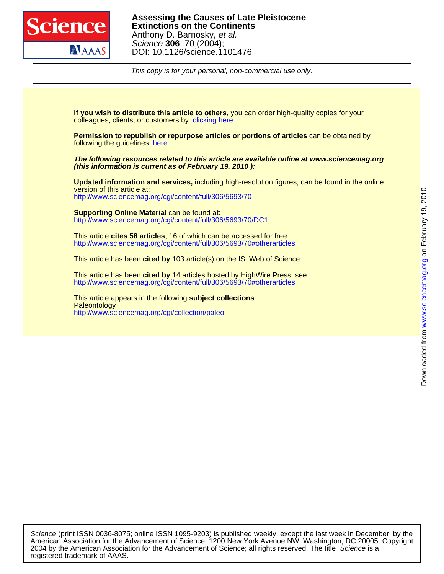

This copy is for your personal, non-commercial use only.

colleagues, clients, or customers by [clicking here.](http://www.sciencemag.org/about/permissions.dtl) **If you wish to distribute this article to others**, you can order high-quality copies for your

following the guidelines [here.](http://www.sciencemag.org/help/about/permissions.dtl) **Permission to republish or repurpose articles or portions of articles** can be obtained by

**(this information is current as of February 19, 2010 ): The following resources related to this article are available online at www.sciencemag.org**

<http://www.sciencemag.org/cgi/content/full/306/5693/70> version of this article at: **Updated information and services,** including high-resolution figures, can be found in the online

<http://www.sciencemag.org/cgi/content/full/306/5693/70/DC1> **Supporting Online Material** can be found at:

<http://www.sciencemag.org/cgi/content/full/306/5693/70#otherarticles> This article **cites 58 articles**, 16 of which can be accessed for free:

This article has been **cited by** 103 article(s) on the ISI Web of Science.

<http://www.sciencemag.org/cgi/content/full/306/5693/70#otherarticles> This article has been **cited by** 14 articles hosted by HighWire Press; see:

<http://www.sciencemag.org/cgi/collection/paleo> **Paleontology** This article appears in the following **subject collections**:

registered trademark of AAAS. 2004 by the American Association for the Advancement of Science; all rights reserved. The title Science is a American Association for the Advancement of Science, 1200 New York Avenue NW, Washington, DC 20005. Copyright Science (print ISSN 0036-8075; online ISSN 1095-9203) is published weekly, except the last week in December, by the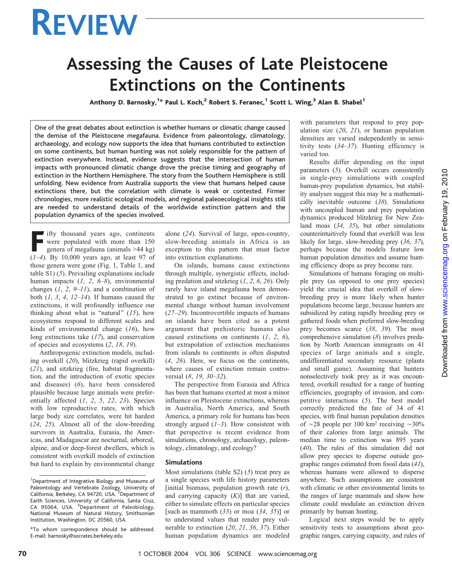# REVIEW

## Assessing the Causes of Late Pleistocene Extinctions on the Continents

Anthony D. Barnosky,<sup>1\*</sup> Paul L. Koch,<sup>2</sup> Robert S. Feranec,<sup>1</sup> Scott L. Wing,<sup>3</sup> Alan B. Shabel<sup>1</sup>

One of the great debates about extinction is whether humans or climatic change caused the demise of the Pleistocene megafauna. Evidence from paleontology, climatology, archaeology, and ecology now supports the idea that humans contributed to extinction on some continents, but human hunting was not solely responsible for the pattern of extinction everywhere. Instead, evidence suggests that the intersection of human impacts with pronounced climatic change drove the precise timing and geography of extinction in the Northern Hemisphere. The story from the Southern Hemisphere is still unfolding. New evidence from Australia supports the view that humans helped cause extinctions there, but the correlation with climate is weak or contested. Firmer chronologies, more realistic ecological models, and regional paleoecological insights still are needed to understand details of the worldwide extinction pattern and the population dynamics of the species involved.

Fifty thousand years ago, continents were populated with more than 150 genera of megafauna (animals 944 kg)  $(1-4)$ . By 10,000 years ago, at least 97 of those genera were gone (Fig. 1, Table 1, and table S1) (5). Prevailing explanations include human impacts  $(1, 2, 6-8)$ , environmental changes  $(1, 2, 9-11)$ , and a combination of both  $(1, 3, 4, 12-14)$ . If humans caused the extinctions, it will profoundly influence our thinking about what is "natural"  $(15)$ , how ecosystems respond to different scales and kinds of environmental change  $(16)$ , how long extinctions take (17), and conservation of species and ecosystems (2, 18, 19).

Anthropogenic extinction models, including overkill (20), blitzkrieg (rapid overkill) (21), and sitzkrieg (fire, habitat fragmentation, and the introduction of exotic species and diseases) (6), have been considered plausible because large animals were preferentially affected  $(1, 2, 5, 22, 23)$ . Species with low reproductive rates, with which large body size correlates, were hit hardest (24, 25). Almost all of the slow-breeding survivors in Australia, Eurasia, the Americas, and Madagascar are nocturnal, arboreal, alpine, and/or deep-forest dwellers, which is consistent with overkill models of extinction but hard to explain by environmental change alone (24). Survival of large, open-country, slow-breeding animals in Africa is an exception to this pattern that must factor into extinction explanations.

On islands, humans cause extinctions through multiple, synergistic effects, including predation and sitzkrieg (1, 2, 6, 26). Only rarely have island megafauna been demonstrated to go extinct because of environmental change without human involvement (27–29). Incontrovertible impacts of humans on islands have been cited as a potent argument that prehistoric humans also caused extinctions on continents (1, 2, 6), but extrapolation of extinction mechanisms from islands to continents is often disputed (4, 26). Here, we focus on the continents, where causes of extinction remain controversial (8, 19, 30–32).

The perspective from Eurasia and Africa has been that humans exerted at most a minor influence on Pleistocene extinctions, whereas in Australia, North America, and South America, a primary role for humans has been strongly argued  $(1-3)$ . How consistent with that perspective is recent evidence from simulations, chronology, archaeology, paleontology, climatology, and ecology?

#### Simulations

Most simulations (table S2)  $(5)$  treat prey as a single species with life history parameters [initial biomass, population growth rate  $(r)$ , and carrying capacity  $(K)$ ] that are varied, either to simulate effects on particular species [such as mammoth  $(33)$  or moa  $(34, 35)$ ] or to understand values that render prey vulnerable to extinction (20, 21, 36, 37). Either human population dynamics are modeled

with parameters that respond to prey population size  $(20, 21)$ , or human population densities are varied independently in sensitivity tests  $(34-37)$ . Hunting efficiency is varied too.

Results differ depending on the input parameters (5). Overkill occurs consistently in single-prey simulations with coupled human-prey population dynamics, but stability analyses suggest this may be a mathematically inevitable outcome (38). Simulations with uncoupled human and prey population dynamics produced blitzkrieg for New Zealand moas (34, 35), but other simulations counterintuitively found that overkill was less likely for large, slow-breeding prey (36, 37), perhaps because the models feature low human population densities and assume hunting efficiency drops as prey become rare.

Simulations of humans foraging on multiple prey (as opposed to one prey species) yield the crucial idea that overkill of slowbreeding prey is more likely when hunter populations become large, because hunters are subsidized by eating rapidly breeding prey or gathered foods when preferred slow-breeding prey becomes scarce (38, 39). The most comprehensive simulation (8) involves predation by North American immigrants on 41 species of large animals and a single, undifferentiated secondary resource (plants and small game). Assuming that hunters nonselectively took prey as it was encountered, overkill resulted for a range of hunting efficiencies, geography of invasion, and competitive interactions (5). The best model correctly predicted the fate of 34 of 41 species, with final human population densities of  $\sim$ 28 people per 100 km<sup>2</sup> receiving  $\sim$ 30% of their calories from large animals. The median time to extinction was 895 years (40). The rules of this simulation did not allow prey species to disperse outside geographic ranges estimated from fossil data (41), whereas humans were allowed to disperse anywhere. Such assumptions are consistent with climatic or other environmental limits to the ranges of large mammals and show how climate could modulate an extinction driven primarily by human hunting.

Logical next steps would be to apply sensitivity tests to assumptions about geographic ranges, carrying capacity, and rules of

<sup>&</sup>lt;sup>1</sup>Department of Integrative Biology and Museums of Paleontology and Vertebrate Zoology, University of<br>California, Berkeley, CA 94720, USA. <sup>2</sup>Department of Earth Sciences, University of California, Santa Cruz, CA 95064, USA. <sup>3</sup>Department of Paleobiology, National Museum of Natural History, Smithsonian Institution, Washington, DC 20560, USA.

<sup>\*</sup>To whom correspondence should be addressed. E-mail: barnosky@socrates.berkeley.edu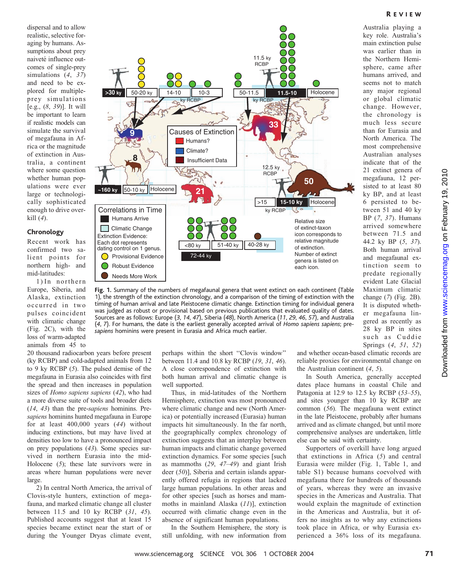R EVIEW

Australia playing a key role. Australia's main extinction pulse was earlier than in the Northern Hemisphere, came after humans arrived, and seems not to match any major regional or global climatic change. However, the chronology is much less secure than for Eurasia and North America. The most comprehensive Australian analyses indicate that of the 21 extinct genera of megafauna, 12 persisted to at least 80 ky BP, and at least 6 persisted to between 51 and 40 ky BP (7, 37). Humans arrived somewhere between 71.5 and 44.2 ky BP (5, 37). Both human arrival and megafaunal extinction seem to predate regionally evident Late Glacial Maximum climatic change (7) (Fig. 2B). It is disputed whether megafauna lingered as recently as 28 ky BP in sites such as Cuddie Springs (4, 51, 52)

dispersal and to allow realistic, selective foraging by humans. Assumptions about prey naiveté influence outcomes of single-prey simulations (4, 37) and need to be explored for multipleprey simulations [e.g.,  $(8, 39)$ ]. It will be important to learn if realistic models can simulate the survival of megafauna in Africa or the magnitude of extinction in Australia, a continent where some question whether human populations were ever large or technologically sophisticated enough to drive overkill  $(4)$ .

#### Chronology

Recent work has confirmed two salient points for northern high- and mid-latitudes:

1) In northern Europe, Siberia, and Alaska, extinction occurred in two pulses coincident with climatic change (Fig. 2C), with the loss of warm-adapted animals from 45 to



Fig. 1. Summary of the numbers of megafaunal genera that went extinct on each continent (Table 1), the strength of the extinction chronology, and a comparison of the timing of extinction with the timing of human arrival and late Pleistocene climatic change. Extinction timing for individual genera was judged as robust or provisional based on previous publications that evaluated quality of dates. Sources are as follows: Europe (3, 14, 47), Siberia (48), North America (11, 29, 46, 57), and Australia (4, 7). For humans, the date is the earliest generally accepted arrival of Homo sapiens sapiens; presapiens hominins were present in Eurasia and Africa much earlier.

20 thousand radiocarbon years before present (ky RCBP) and cold-adapted animals from 12 to 9 ky RCBP (5). The pulsed demise of the megafauna in Eurasia also coincides with first the spread and then increases in population sizes of *Homo sapiens sapiens* (42), who had a more diverse suite of tools and broader diets (14, 43) than the pre-sapiens hominins. Presapiens hominins hunted megafauna in Europe for at least 400,000 years (44) without inducing extinctions, but may have lived at densities too low to have a pronounced impact on prey populations (43). Some species survived in northern Eurasia into the mid-Holocene (5); these late survivors were in areas where human populations were never large.

2) In central North America, the arrival of Clovis-style hunters, extinction of megafauna, and marked climatic change all cluster between 11.5 and 10 ky RCBP (31, 45). Published accounts suggest that at least 15 species became extinct near the start of or during the Younger Dryas climate event,

perhaps within the short ''Clovis window'' between 11.4 and 10.8 ky RCBP (19, 31, 46). A close correspondence of extinction with both human arrival and climatic change is well supported.

Thus, in mid-latitudes of the Northern Hemisphere, extinction was most pronounced where climatic change and new (North America) or potentially increased (Eurasia) human impacts hit simultaneously. In the far north, the geographically complex chronology of extinction suggests that an interplay between human impacts and climatic change governed extinction dynamics. For some species [such as mammoths  $(29, 47-49)$  and giant Irish deer (50)], Siberia and certain islands apparently offered refugia in regions that lacked large human populations. In other areas and for other species [such as horses and mammoths in mainland Alaska (11)], extinction occurred with climatic change even in the absence of significant human populations.

In the Southern Hemisphere, the story is still unfolding, with new information from and whether ocean-based climatic records are reliable proxies for environmental change on the Australian continent (4, 5).

In South America, generally accepted dates place humans in coastal Chile and Patagonia at 12.9 to 12.5 ky RCBP (53–55), and sites younger than 10 ky RCBP are common (56). The megafauna went extinct in the late Pleistocene, probably after humans arrived and as climate changed, but until more comprehensive analyses are undertaken, little else can be said with certainty.

Supporters of overkill have long argued that extinctions in Africa (5) and central Eurasia were milder (Fig. 1, Table 1, and table S1) because humans coevolved with megafauna there for hundreds of thousands of years, whereas they were an invasive species in the Americas and Australia. That would explain the magnitude of extinction in the Americas and Australia, but it offers no insights as to why any extinctions took place in Africa, or why Eurasia experienced a 36% loss of its megafauna.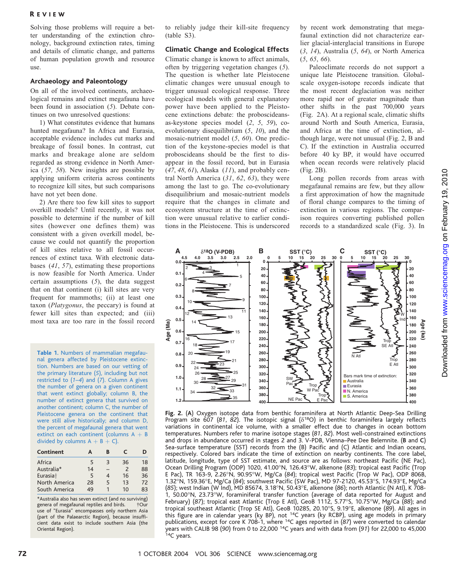#### R EVIEW

Solving those problems will require a better understanding of the extinction chronology, background extinction rates, timing and details of climatic change, and patterns of human population growth and resource use.

### Archaeology and Paleontology

On all of the involved continents, archaeological remains and extinct megafauna have been found in association (5). Debate continues on two unresolved questions:

1) What constitutes evidence that humans hunted megafauna? In Africa and Eurasia, acceptable evidence includes cut marks and breakage of fossil bones. In contrast, cut marks and breakage alone are seldom regarded as strong evidence in North America (57, 58). New insights are possible by applying uniform criteria across continents to recognize kill sites, but such comparisons have not yet been done.

2) Are there too few kill sites to support overkill models? Until recently, it was not possible to determine if the number of kill sites (however one defines them) was consistent with a given overkill model, because we could not quantify the proportion of kill sites relative to all fossil occurrences of extinct taxa. With electronic databases (41, 57), estimating these proportions is now feasible for North America. Under certain assumptions (5), the data suggest that on that continent (i) kill sites are very frequent for mammoths; (ii) at least one taxon (Platygonus, the peccary) is found at fewer kill sites than expected; and (iii) most taxa are too rare in the fossil record

Table 1. Numbers of mammalian megafaunal genera affected by Pleistocene extinction. Numbers are based on our vetting of the primary literature (5), including but not restricted to  $(1-4)$  and  $(7)$ . Column A gives the number of genera on a given continent that went extinct globally; column B, the number of extinct genera that survived on another continent; column C, the number of Pleistocene genera on the continent that were still alive historically; and column D, the percent of megafaunal genera that went extinct on each continent (columns  $A + B$ divided by columns  $A + B + C$ ).

| Continent            | А  | в | C                        | ח  |
|----------------------|----|---|--------------------------|----|
| Africa               | 5  | З | 36                       | 18 |
| Australia*           | 14 |   | $\overline{\phantom{0}}$ | 88 |
| Eurasia <sup>+</sup> | 5  | 4 | 16                       | 36 |
| North America        | 28 | 5 | 13                       | 72 |
| South America        | 49 |   | 10                       | 83 |

\*Australia also has seven extinct (and no surviving) genera of megafaunal reptiles and birds. use of ''Eurasia'' encompasses only northern Asia (part of the Palaearctic Region), because insufficient data exist to include southern Asia (the Oriental Region).

to reliably judge their kill-site frequency (table S3).

#### Climatic Change and Ecological Effects

Climatic change is known to affect animals, often by triggering vegetation changes (5). The question is whether late Pleistocene climatic changes were unusual enough to trigger unusual ecological response. Three ecological models with general explanatory power have been applied to the Pleistocene extinctions debate: the proboscideansas-keystone species model (2, 5, 59), coevolutionary disequilibrium (5, 10), and the mosaic-nutrient model (5, 60). One prediction of the keystone-species model is that proboscideans should be the first to disappear in the fossil record, but in Eurasia  $(47, 48, 61)$ , Alaska  $(11)$ , and probably central North America (31, 62, 63), they were among the last to go. The co-evolutionary disequilibrium and mosaic-nutrient models require that the changes in climate and ecosystem structure at the time of extinction were unusual relative to earlier conditions in the Pleistocene. This is underscored

by recent work demonstrating that megafaunal extinction did not characterize earlier glacial-interglacial transitions in Europe  $(3, 14)$ , Australia  $(5, 64)$ , or North America (5, 65, 66).

Paleoclimate records do not support a unique late Pleistocene transition. Globalscale oxygen-isotope records indicate that the most recent deglaciation was neither more rapid nor of greater magnitude than other shifts in the past 700,000 years (Fig. 2A). At a regional scale, climatic shifts around North and South America, Eurasia, and Africa at the time of extinction, although large, were not unusual (Fig. 2, B and C). If the extinction in Australia occurred before 40 ky BP, it would have occurred when ocean records were relatively placid (Fig. 2B).

Long pollen records from areas with megafaunal remains are few, but they allow a first approximation of how the magnitude of floral change compares to the timing of extinction in various regions. The comparison requires converting published pollen records to a standardized scale (Fig. 3). In



Fig. 2. (A) Oxygen isotope data from benthic foraminifera at North Atlantic Deep-Sea Drilling Program site  $607$  (81, 82). The isotopic signal ( $\delta^{18}$ O) in benthic foraminifera largely reflects variations in continental ice volume, with a smaller effect due to changes in ocean bottom temperatures. Numbers refer to marine isotope stages (81, 82). Most well-constrained extinctions and drops in abundance occurred in stages 2 and 3. V-PDB, Vienna–Pee Dee Belemnite. (B and C) Sea-surface temperature (SST) records from the (B) Pacific and (C) Atlantic and Indian oceans, respectively. Colored bars indicate the time of extinction on nearby continents. The core label, latitude, longitude, type of SST estimate, and source are as follows: northeast Pacific (NE Pac), Ocean Drilling Program (ODP) 1020, 41.00°N, 126.43°W, alkenone (83); tropical east Pacific (Trop E Pac), TR 163-9, 2.26-N, 90.95-W, Mg/Ca (84); tropical west Pacific (Trop W Pac), ODP 806B, 1.32°N, 159.36°E, Mg/Ca (84); southwest Pacific (SW Pac), MD 97-2120, 45.53°S, 174.93°E, Mg/Ca (85); west Indian (W Ind), MD 85674, 3.18-N, 50.43-E, alkenone (86); north Atlantic (N Atl), K 708- 1, 50.00°N, 23.73°W, foraminiferal transfer function (average of data reported for August and February) (87); tropical east Atlantic (Trop E Atl), GeoB 1112, 5.77°S, 10.75°W, Mg/Ca (88); and tropical southeast Atlantic (Trop SE Atl), GeoB 10285, 20.10°S, 9.19°E, alkenone (89). All ages in this figure are in calendar years (ky BP), not <sup>14</sup>C years (ky RCBP), using age models in primary publications, except for core K 708-1, where 14C ages reported in (87) were converted to calendar .<br>years with CALIB 98 (90) from 0 to 22,000 <sup>14</sup>C years and with data from (91) for 22,000 to 45,000<br><sup>14</sup>C years.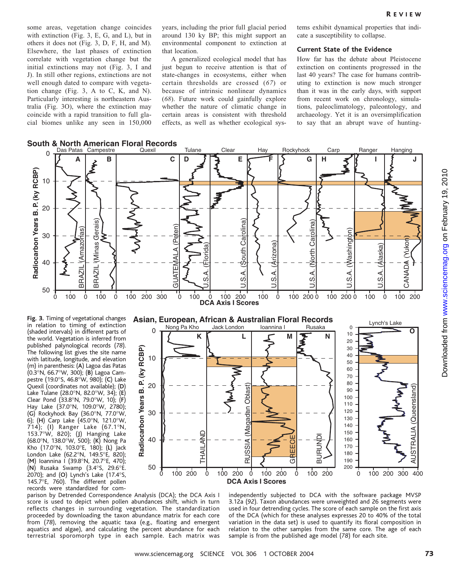some areas, vegetation change coincides with extinction (Fig. 3, E, G, and L), but in others it does not (Fig. 3, D, F, H, and M). Elsewhere, the last phases of extinction correlate with vegetation change but the initial extinctions may not (Fig. 3, I and J). In still other regions, extinctions are not well enough dated to compare with vegetation change (Fig. 3, A to C, K, and N). Particularly interesting is northeastern Australia (Fig. 3O), where the extinction may coincide with a rapid transition to full glacial biomes unlike any seen in 150,000 years, including the prior full glacial period around 130 ky BP; this might support an environmental component to extinction at that location.

A generalized ecological model that has just begun to receive attention is that of state-changes in ecosystems, either when certain thresholds are crossed (67) or because of intrinsic nonlinear dynamics (68). Future work could gainfully explore whether the nature of climatic change in certain areas is consistent with threshold effects, as well as whether ecological systems exhibit dynamical properties that indicate a susceptibility to collapse.

#### Current State of the Evidence

How far has the debate about Pleistocene extinction on continents progressed in the last 40 years? The case for humans contributing to extinction is now much stronger than it was in the early days, with support from recent work on chronology, simulations, paleoclimatology, paleontology, and archaeology. Yet it is an oversimplification to say that an abrupt wave of hunting-



Fig. 3. Timing of vegetational changes in relation to timing of extinction (shaded intervals) in different parts of the world. Vegetation is inferred from published palynological records (78). The following list gives the site name with latitude, longitude, and elevation (m) in parenthesis: (A) Lagoa das Patas (0.3-N, 66.7-W, 300); (B) Lagoa Campestre (19.0°S, 46.8°W, 980); (C) Lake Quexil (coordinates not available); (D) Lake Tulane (28.0°N, 82.0°W, 34); (E) Clear Pond (33.8°N, 79.0°W, 10); (F) Hay Lake (37.0°N, 109.0°W, 2780);  $(G)$  Rockyhock Bay (36.0°N, 77.0°W, 6); (H) Carp Lake  $(45.0°N, 121.0°W,$ 714); (I) Ranger Lake (67.1°N, 153.7-W, 820); (J) Hanging Lake (68.0°N, 138.0°W, 500); (K) Nong Pa Kho (17.0°N, 103.0°E, 180); (L) Jack London Lake (62.2°N, 149.5°E, 820); (M) Ioannina I (39.8°N, 20.7°E, 470);  $(N)$  Rusaka Swamp (3.4 $\degree$ S, 29.6 $\degree$ E. 2070); and (O) Lynch's Lake (17.4°S, 145.7°E, 760). The different pollen records were standardized for com-



parison by Detrended Correspondence Analysis (DCA); the DCA Axis I score is used to depict when pollen abundances shift, which in turn reflects changes in surrounding vegetation. The standardization proceeded by downloading the taxon abundance matrix for each core from (78), removing the aquatic taxa (e.g., floating and emergent aquatics and algae), and calculating the percent abundance for each terrestrial sporomorph type in each sample. Each matrix was

independently subjected to DCA with the software package MVSP 3.12a (92). Taxon abundances were unweighted and 26 segments were used in four detrending cycles. The score of each sample on the first axis of the DCA (which for these analyses expresses 20 to 40% of the total variation in the data set) is used to quantify its floral composition in relation to the other samples from the same core. The age of each sample is from the published age model (78) for each site.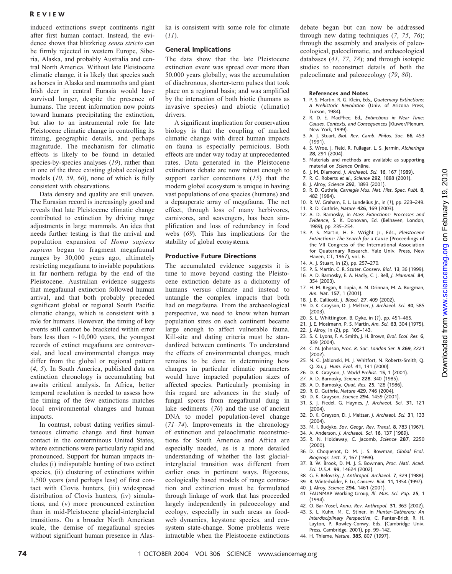#### R EVIEW

induced extinctions swept continents right after first human contact. Instead, the evidence shows that blitzkrieg sensu stricto can be firmly rejected in western Europe, Siberia, Alaska, and probably Australia and central North America. Without late Pleistocene climatic change, it is likely that species such as horses in Alaska and mammoths and giant Irish deer in central Eurasia would have survived longer, despite the presence of humans. The recent information now points toward humans precipitating the extinction, but also to an instrumental role for late Pleistocene climatic change in controlling its timing, geographic details, and perhaps magnitude. The mechanism for climatic effects is likely to be found in detailed species-by-species analyses (19), rather than in one of the three existing global ecological models (10, 59, 60), none of which is fully consistent with observations.

Data density and quality are still uneven. The Eurasian record is increasingly good and reveals that late Pleistocene climatic change contributed to extinction by driving range adjustments in large mammals. An idea that needs further testing is that the arrival and population expansion of Homo sapiens sapiens began to fragment megafaunal ranges by 30,000 years ago, ultimately restricting megafauna to inviable populations in far northern refugia by the end of the Pleistocene. Australian evidence suggests that megafaunal extinction followed human arrival, and that both probably preceded significant global or regional South Pacific climatic change, which is consistent with a role for humans. However, the timing of key events still cannot be bracketed within error bars less than  $\sim$ 10,000 years, the youngest records of extinct megafauna are controversial, and local environmental changes may differ from the global or regional pattern (4, 5). In South America, published data on extinction chronology is accumulating but awaits critical analysis. In Africa, better temporal resolution is needed to assess how the timing of the few extinctions matches local environmental changes and human impacts.

In contrast, robust dating verifies simultaneous climatic change and first human contact in the conterminous United States, where extinctions were particularly rapid and pronounced. Support for human impacts includes (i) indisputable hunting of two extinct species, (ii) clustering of extinctions within 1,500 years (and perhaps less) of first contact with Clovis hunters, (iii) widespread distribution of Clovis hunters, (iv) simulations, and (v) more pronounced extinction than in mid-Pleistocene glacial-interglacial transitions. On a broader North American scale, the demise of megafaunal species without significant human presence in Alaska is consistent with some role for climate  $(11)$ .

#### General Implications

The data show that the late Pleistocene extinction event was spread over more than 50,000 years globally; was the accumulation of diachronous, shorter-term pulses that took place on a regional basis; and was amplified by the interaction of both biotic (humans as invasive species) and abiotic (climatic) drivers.

A significant implication for conservation biology is that the coupling of marked climatic change with direct human impacts on fauna is especially pernicious. Both effects are under way today at unprecedented rates. Data generated in the Pleistocene extinctions debate are now robust enough to support earlier contentions  $(15)$  that the modern global ecosystem is unique in having vast populations of one species (humans) and a depauperate array of megafauna. The net effect, through loss of many herbivores, carnivores, and scavengers, has been simplification and loss of redundancy in food webs (69). This has implications for the stability of global ecosystems.

#### Productive Future Directions

The accumulated evidence suggests it is time to move beyond casting the Pleistocene extinction debate as a dichotomy of humans versus climate and instead to untangle the complex impacts that both had on megafauna. From the archaeological perspective, we need to know when human population sizes on each continent became large enough to affect vulnerable fauna. Kill-site and dating criteria must be standardized between continents. To understand the effects of environmental changes, much remains to be done in determining how changes in particular climatic parameters would have impacted population sizes of affected species. Particularly promising in this regard are advances in the study of fungal spores from megafaunal dung in lake sediments (70) and the use of ancient DNA to model population-level change  $(71–74)$ . Improvements in the chronology of extinction and paleoclimatic reconstructions for South America and Africa are especially needed, as is a more detailed understanding of whether the last glacialinterglacial transition was different from earlier ones in pertinent ways. Rigorous, ecologically based models of range contraction and extinction must be formulated through linkage of work that has proceeded largely independently in paleoecology and ecology, especially in such areas as foodweb dynamics, keystone species, and ecosystem state-change. Some problems were intractable when the Pleistocene extinctions

debate began but can now be addressed through new dating techniques (7, 75, 76); through the assembly and analysis of paleoecological, paleoclimatic, and archaeological databases (41, 77, 78); and through isotopic studies to reconstruct details of both the paleoclimate and paleoecology (79, 80).

#### References and Notes

- 1. P. S. Martin, R. G. Klein, Eds., Quaternary Extinctions: A Prehistoric Revolution (Univ. of Arizona Press, Tucson, 1984).
- 2. R. D. E. MacPhee, Ed., Extinctions in Near Time: Causes, Contexts, and Consequences (Kluwer/Plenum, New York, 1999).
- 3. A. J. Stuart, Biol. Rev. Camb. Philos. Soc. 66, 453 (1991).
- 4. S. Wroe, J. Field, R. Fullagar, L. S. Jermin, Alcheringa 28, 291 (2004).
- 5. Materials and methods are available as supporting material on Science Online.
- 6. J. M. Diamond, J. Archaeol. Sci. 16, 167 (1989).
- 7. R. G. Roberts et al., Science 292, 1888 (2001).
- 8. J. Alroy, Science 292, 1893 (2001).
- 9. R. D. Guthrie, Carnegie Mus. Nat. Hist. Spec. Publ. 8, 482 (1984).
- 10. R. W. Graham, E. L. Lundelius Jr., in (1), pp. 223–249.
- 11. R. D. Guthrie, Nature 426, 169 (2003).
- 12. A. D. Barnosky, in Mass Extinctions: Processes and Evidence, S. K. Donovan, Ed. (Belhaven, London, 1989), pp. 235–254.
- 13. P. S. Martin, H. E. Wright Jr., Eds., Pleistocene Extinctions: The Search for a Cause (Proceedings of the VII Congress of the International Association for Quaternary Research, Yale Univ. Press, New Haven, CT, 1967), vol. 6.
- 14. A. J. Stuart, in (2), pp. 257–270.
- 15. P. S. Martin, C. R. Szuter, Conserv. Biol. 13, 36 (1999). 16. A. D. Barnosky, E. A. Hadly, C. J. Bell, J. Mammal. 84, 354 (2003).
- 17. H. M. Regan, R. Lupia, A. N. Drinnan, M. A. Burgman, Am. Nat. 157, 1 (2001).
- 18. J. B. Callicott, J. Biosci. 27, 409(2002).
- 19. D. K. Grayson, D. J. Meltzer, J. Archaeol. Sci. 30, 585 (2003).
- 20. S. L. Whittington, B. Dyke, in (1), pp. 451–465.
- 21. J. E. Mosimann, P. S. Martin, Am. Sci. 63, 304 (1975).
- 22. J. Alroy, in (2), pp. 105–143.
- 23. S. K. Lyons, F. A. Smith, J. H. Brown, Evol. Ecol. Res. 6, 339(2004).
- 24. C. N. Johnson, Proc. R. Soc. London Ser. B 269, 2221 (2002).
- 25. N. G. Jablonski, M. J. Whitfort, N. Roberts-Smith, Q. Q. Xu, J. Hum. Evol. 41, 131 (2000).
- 26. D. K. Grayson, J. World Prehist. 15, 1 (2001).
- 27. A. D. Barnosky, Science 228, 340 (1985).
- 28. A. D. Barnosky, Quat. Res. 25, 128 (1986).
- 29. R. D. Guthrie, Nature 429, 746 (2004).
- 30. D. K. Grayson, Science 294, 1459(2001).
- 31. S. J. Fiedel, G. Haynes, J. Archaeol. Sci. 31, 121 (2004).
- 32. D. K. Grayson, D. J. Meltzer, J. Archaeol. Sci. 31, 133 (2004).
- 33. M. I. Budyko, Sov. Geogr. Rev. Transl. 8, 783 (1967).
- 34. A. Anderson, J. Archaeol. Sci. 16, 137 (1989).
- 35. R. N. Holdaway, C. Jacomb, Science 287, 2250
- (2000). 36. D. Choquenot, D. M. J. S. Bowman, Global Ecol.
- Biogeogr. Lett. 7, 167 (1998). 37. B. W. Brook, D. M. J. S. Bowman, Proc. Natl. Acad. Sci. U.S.A. 99, 14624 (2002).
- 38. G. E. Belovsky, J. Anthropol. Archaeol. 7, 329(1988).
- 39. B. Winterhalder, F. Lu, Conserv. Biol. 11, 1354 (1997).
- 40. J. Alroy, Science 294, 1461 (2001).
- 41. FAUNMAP Working Group, Ill. Mus. Sci. Pap. 25, 1 (1994).
- 42. O. Bar-Yosef, Annu. Rev. Anthropol. 31, 363 (2002).
- 43. S. L. Kuhn, M. C. Stiner, in Hunter-Gatherers: An Interdisciplinary Perspective, C. Panter-Brick, R. H. Layton, P. Rowley-Conwy, Eds. (Cambridge Univ. Press, Cambridge, 2001), pp. 99–142.
- 44. H. Thieme, Nature, 385, 807 (1997).